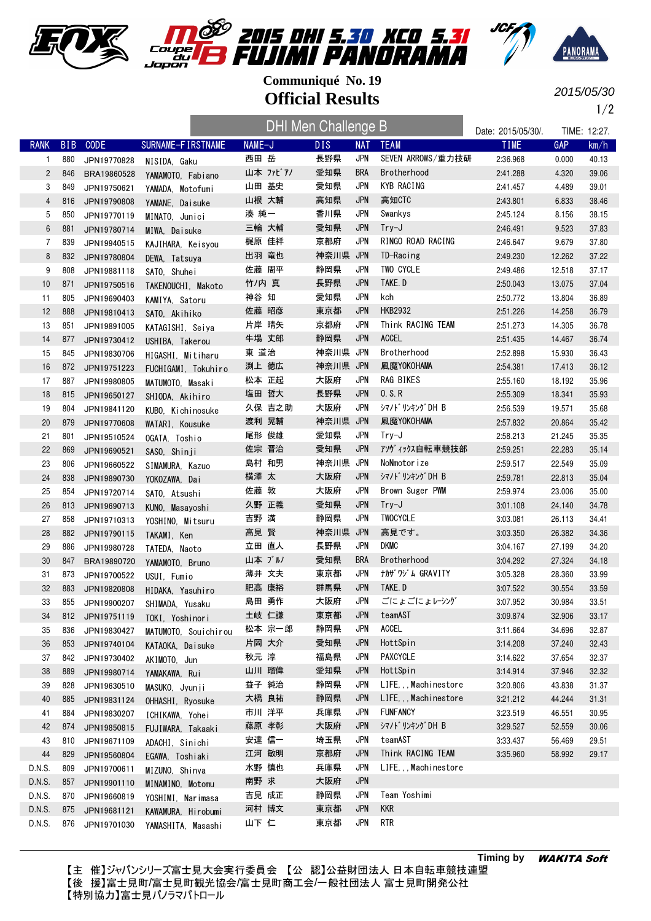





2015/05/30

1/2

|                |            |                            |                                          |        | DHI Men Challenge B |            |                   |                          | Date: 2015/05/30/.   |                  | TIME: 12:27.   |
|----------------|------------|----------------------------|------------------------------------------|--------|---------------------|------------|-------------------|--------------------------|----------------------|------------------|----------------|
| <b>RANK</b>    | <b>BIB</b> | <b>CODE</b>                | SURNAME-FIRSTNAME                        | NAME-J |                     | DIS.       | <b>NAT</b>        | <b>TEAM</b>              | <b>TIME</b>          | GAP              | km/h           |
| $\mathbf{1}$   | 880        | JPN19770828                | NISIDA, Gaku                             | 西田 岳   |                     | 長野県        | <b>JPN</b>        | SEVEN ARROWS/重力技研        | 2:36.968             | 0.000            | 40.13          |
| $\overline{2}$ | 846        | BRA19860528                | YAMAMOTO, Fabiano                        |        | 山本 ファビアノ            | 愛知県        | <b>BRA</b>        | Brotherhood              | 2:41.288             | 4.320            | 39.06          |
| 3              | 849        | JPN19750621                | YAMADA, Motofumi                         |        | 山田 基史               | 愛知県        | <b>JPN</b>        | KYB RACING               | 2:41.457             | 4.489            | 39.01          |
| 4              | 816        | JPN19790808                | YAMANE, Daisuke                          |        | 山根 大輔               | 高知県        | <b>JPN</b>        | 高知CTC                    | 2:43.801             | 6.833            | 38.46          |
| 5              | 850        | JPN19770119                | MINATO, Junici                           | 湊 純一   |                     | 香川県        | <b>JPN</b>        | Swankys                  | 2:45.124             | 8.156            | 38.15          |
| 6              | 881        | JPN19780714                | MIWA, Daisuke                            |        | 三輪 大輔               | 愛知県        | <b>JPN</b>        | $Try-J$                  | 2:46.491             | 9.523            | 37.83          |
| 7              | 839        | JPN19940515                | KAJIHARA, Keisyou                        |        | 梶原 佳祥               | 京都府        | <b>JPN</b>        | RINGO ROAD RACING        | 2:46.647             | 9.679            | 37.80          |
| 8              | 832        | JPN19780804                | DEWA, Tatsuya                            |        | 出羽 竜也               | 神奈川県       | <b>JPN</b>        | TD-Racing                | 2:49.230             | 12.262           | 37.22          |
| 9              | 808        | JPN19881118                | SATO, Shuhei                             |        | 佐藤 周平               | 静岡県        | <b>JPN</b>        | TWO CYCLE                | 2:49.486             | 12.518           | 37.17          |
| 10             | 871        | JPN19750516                | TAKENOUCHI, Makoto                       | 竹/内 真  |                     | 長野県        | JPN               | TAKE.D                   | 2:50.043             | 13.075           | 37.04          |
| 11             | 805        | JPN19690403                | KAMIYA, Satoru                           | 神谷 知   |                     | 愛知県        | <b>JPN</b>        | kch                      | 2:50.772             | 13.804           | 36.89          |
| 12             | 888        | JPN19810413                | SATO, Akihiko                            |        | 佐藤 昭彦               | 東京都        | <b>JPN</b>        | <b>HKB2932</b>           | 2:51.226             | 14.258           | 36.79          |
| 13             | 851        | JPN19891005                | KATAGISHI, Seiya                         |        | 片岸 晴矢               | 京都府        | <b>JPN</b>        | Think RACING TEAM        | 2:51.273             | 14.305           | 36.78          |
| 14             | 877        | JPN19730412                | USHIBA, Takerou                          |        | 牛場 丈郎               | 静岡県        | <b>JPN</b>        | <b>ACCEL</b>             | 2:51.435             | 14.467           | 36.74          |
| 15             | 845        | JPN19830706                | HIGASHI, Mitiharu                        | 東 道治   |                     | 神奈川県 JPN   |                   | Brotherhood              | 2:52.898             | 15.930           | 36.43          |
| 16             | 872        | JPN19751223                | FUCHIGAMI, Tokuhiro                      |        | 渕上 徳広               | 神奈川県 JPN   |                   | 風魔YOKOHAMA               | 2:54.381             | 17.413           | 36.12          |
| 17             | 887        | JPN19980805                | MATUMOTO, Masaki                         |        | 松本 正起               | 大阪府        | <b>JPN</b>        | RAG BIKES                | 2:55.160             | 18.192           | 35.96          |
| 18             | 815        | JPN19650127                | SHIODA, Akihiro                          |        | 塩田 哲大               | 長野県        | <b>JPN</b>        | 0.S.R                    | 2:55.309             | 18.341           | 35.93          |
| 19             | 804        | JPN19841120                | KUBO. Kichinosuke                        |        | 久保 吉之助              | 大阪府        | <b>JPN</b>        | シマノドリンキングDH B            | 2:56.539             | 19.571           | 35.68          |
| 20             | 879        | JPN19770608                | WATARI, Kousuke                          |        | 渡利 晃輔               | 神奈川県 JPN   |                   | 風魔YOKOHAMA               | 2:57.832             | 20.864           | 35.42          |
| 21             | 801        | JPN19510524                | OGATA, Toshio                            |        | 尾形 俊雄               | 愛知県        | <b>JPN</b>        | Try-J                    | 2:58.213             | 21.245           | 35.35          |
| 22             | 869        | JPN19690521                | SASO, Shinji                             |        | 佐宗 晋治               | 愛知県        | <b>JPN</b>        | アソヴィックス自転車競技部            | 2:59.251             | 22.283           | 35.14          |
| 23             | 806        | JPN19660522                | SIMAMURA, Kazuo                          |        | 島村 和男               | 神奈川県       | <b>JPN</b>        | NoNmotorize              | 2:59.517             | 22.549           | 35.09          |
| 24             | 838        | JPN19890730                | YOKOZAWA, Dai                            | 横澤 太   |                     | 大阪府        | JPN               | シマノドリンキングDH B            | 2:59.781             | 22.813           | 35.04          |
| 25             | 854        | JPN19720714                | SATO, Atsushi                            | 佐藤 敦   |                     | 大阪府        | <b>JPN</b>        | Brown Suger PWM          | 2:59.974             | 23.006           | 35.00          |
| 26             | 813        | JPN19690713                | KUNO, Masayoshi                          |        | 久野 正義               | 愛知県        | <b>JPN</b>        | $Try-J$                  | 3:01.108             | 24.140           | 34.78          |
| 27             | 858        | JPN19710313                | YOSHINO, Mitsuru                         | 吉野 満   |                     | 静岡県        | <b>JPN</b>        | <b>TWOCYCLE</b>          | 3:03.081             | 26.113           | 34.41          |
| 28             | 882        | JPN19790115                | TAKAMI, Ken                              | 高見 賢   |                     | 神奈川県 JPN   |                   | 高見です。                    | 3:03.350             | 26.382           | 34.36          |
| 29             | 886        | JPN19980728                | TATEDA, Naoto                            |        | 立田 直人               | 長野県        | <b>JPN</b>        | <b>DKMC</b>              | 3:04.167             | 27.199           | 34.20          |
| 30             | 847        | BRA19890720                | YAMAMOTO, Bruno                          |        | 山本 ブル/              | 愛知県        | <b>BRA</b>        | Brotherhood              | 3:04.292             | 27.324           | 34.18          |
| 31             | 873        | JPN19700522                | USUI, Fumio                              |        | 薄井 文夫               | 東京都        | <b>JPN</b>        | <b>ナカザ ワジム GRAVITY</b>   | 3:05.328             | 28.360           | 33.99          |
| 32             | 883        | JPN19820808                | HIDAKA, Yasuhiro                         |        | 肥高 康裕               | 群馬県        | <b>JPN</b>        | TAKE.D                   | 3:07.522             | 30.554           | 33.59          |
| 33             | 855        | JPN19900207                | SHIMADA, Yusaku                          |        | 島田 勇作               | 大阪府        | <b>JPN</b>        | ごにょごにょレーシゾ<br>teamAST    | 3:07.952             | 30.984           | 33.51          |
| 34             | 812        | JPN19751119                | TOKI, Yoshinori                          |        | 土岐 仁謙               | 東京都        | JPN               |                          | 3:09.874             | 32.906           | 33.17          |
| 35             | 836        | JPN19830427                | MATUMOTO, Souichirou                     |        | 松本 宗一郎              | 静岡県        | JPN<br><b>JPN</b> | <b>ACCEL</b><br>HottSpin | 3:11.664             | 34.696           | 32.87          |
| 36             | 853        | JPN19740104                | KATAOKA, Daisuke                         |        | 片岡 大介               | 愛知県<br>福島県 | <b>JPN</b>        | <b>PAXCYCLE</b>          | 3:14.208             | 37.240           | 32.43          |
| 37             | 842        | JPN19730402                | AKIMOTO, Jun                             | 秋元 淳   | 山川 瑠偉               | 愛知県        | JPN               | HottSpin                 | 3:14.622             | 37.654           | 32.37          |
| 38             | 889        | JPN19980714                | YAMAKAWA, Rui                            |        | 益子 純治               | 静岡県        | JPN               | LIFE, , , Machinestore   | 3:14.914             | 37.946           | 32.32          |
| 39             | 828        | JPN19630510                | MASUKO. Jyunii                           |        | 大橋 良祐               | 静岡県        | <b>JPN</b>        | LIFE, , , Machinestore   | 3:20.806             | 43.838<br>44.244 | 31.37<br>31.31 |
| 40<br>41       | 885<br>884 | JPN19831124                | OHHASHI, Ryosuke                         |        | 市川 洋平               | 兵庫県        | <b>JPN</b>        | <b>FUNFANCY</b>          | 3:21.212<br>3:23.519 | 46.551           | 30.95          |
| 42             |            | JPN19830207                | ICHIKAWA, Yohei                          |        | 藤原 孝彰               | 大阪府        | <b>JPN</b>        | シマノドリンキングDH B            |                      | 52.559           |                |
| 43             | 874<br>810 | JPN19850815                | FUJIWARA, Takaaki                        |        | 安達 信一               | 埼玉県        | JPN               | teamAST                  | 3:29.527<br>3:33.437 | 56.469           | 30.06<br>29.51 |
| 44             | 829        | JPN19671109                | ADACHI, Sinichi                          |        | 江河 敏明               | 京都府        | <b>JPN</b>        | Think RACING TEAM        | 3:35.960             | 58.992           | 29.17          |
| D.N.S.         | 809        | JPN19560804<br>JPN19700611 | EGAWA, Toshiaki                          |        | 水野 慎也               | 兵庫県        | <b>JPN</b>        | LIFE, , , Machinestore   |                      |                  |                |
| D.N.S.         | 857        | JPN19901110                | MIZUNO, Shinya                           | 南野 求   |                     | 大阪府        | <b>JPN</b>        |                          |                      |                  |                |
| D.N.S.         | 870        | JPN19660819                | MINAMINO, Motomu                         |        | 吉見 成正               | 静岡県        | JPN               | Team Yoshimi             |                      |                  |                |
| D.N.S.         | 875        | JPN19681121                | YOSHIMI. Narimasa                        |        | 河村 博文               | 東京都        | <b>JPN</b>        | <b>KKR</b>               |                      |                  |                |
| D.N.S.         | 876        | JPN19701030                | KAWAMURA, Hirobumi<br>YAMASHITA, Masashi | 山下 仁   |                     | 東京都        | <b>JPN</b>        | <b>RTR</b>               |                      |                  |                |
|                |            |                            |                                          |        |                     |            |                   |                          |                      |                  |                |

【主 催】ジャパンシリーズ富士見大会実行委員会 【公 認】公益財団法人 日本自転車競技連盟 【後 援】富士見町/富士見町観光協会/富士見町商工会/一般社団法人 富士見町開発公社 【特別協力】富士見パノラマパトロール

**Timing by** WAKITA Soft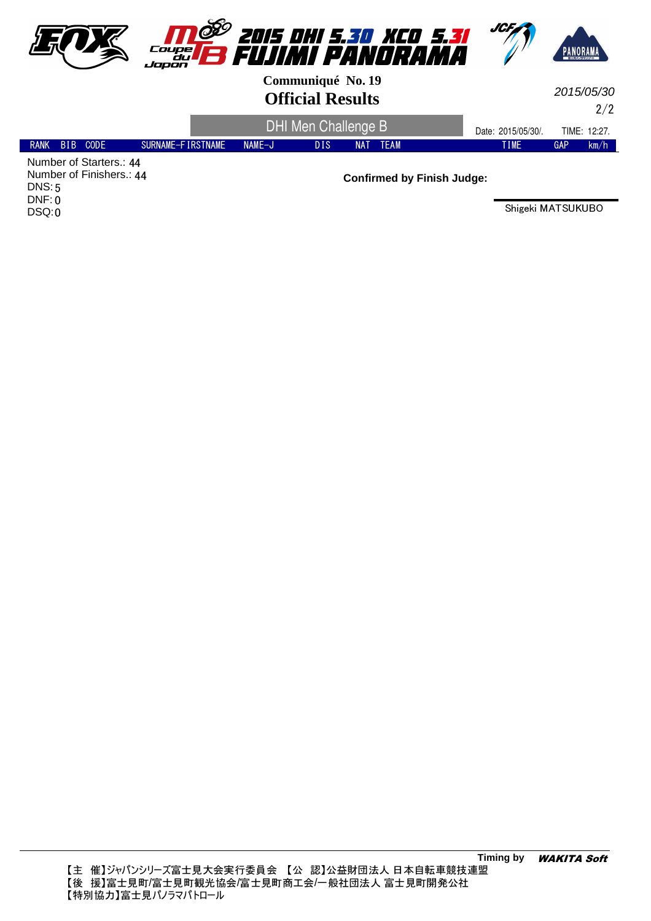

2/2 2015/05/30

|               |                         |                   |          | DHI Men Challenge B | Date: 2015/05/30/. | TIME: 12:27. |             |            |      |
|---------------|-------------------------|-------------------|----------|---------------------|--------------------|--------------|-------------|------------|------|
| RANK BIB CODE |                         | SURNAME-FIRSTNAME | $NAMF-J$ | DIS                 | <b>NAT</b>         | TEAM         | <b>TIME</b> | <b>GAP</b> | km/h |
|               | Number of Starters.: 44 |                   |          |                     |                    |              |             |            |      |

Number of Finishers.: 44 5 DNS: DNF: 0 DSQ:0

**Confirmed by Finish Judge:**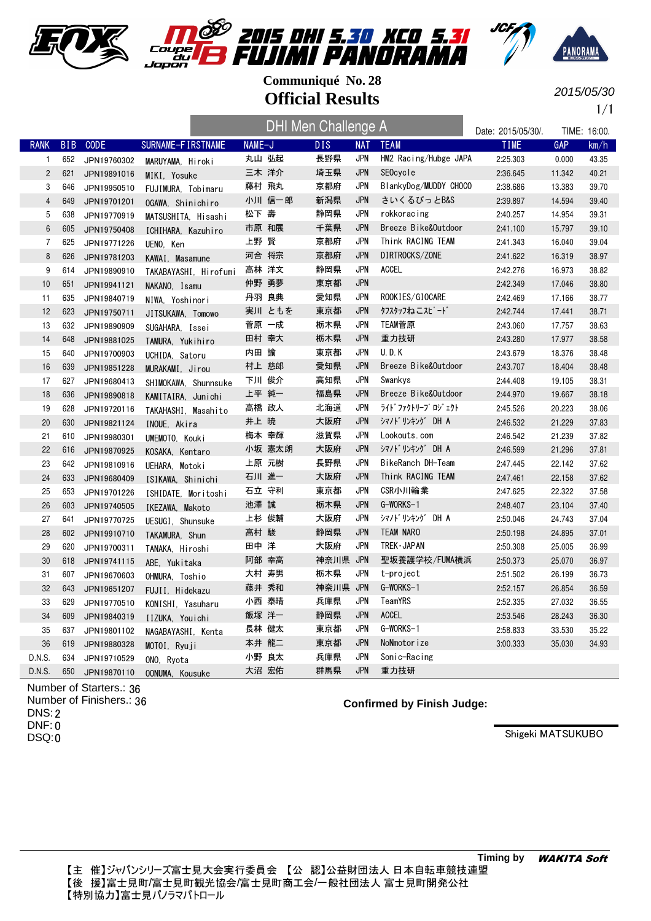





2015/05/30

1/1

|                |            |             |                       |        | <b>DHI Men Challenge A</b> |            |                       | Date: 2015/05/30/. |        | TIME: 16:00. |
|----------------|------------|-------------|-----------------------|--------|----------------------------|------------|-----------------------|--------------------|--------|--------------|
| <b>RANK</b>    | <b>BIB</b> | CODE        | SURNAME-FIRSTNAME     | NAME-J | <b>DIS</b>                 | <b>NAT</b> | <b>TEAM</b>           | <b>TIME</b>        | GAP    | km/h         |
| 1              | 652        | JPN19760302 | MARUYAMA, Hiroki      | 丸山 弘起  | 長野県                        | <b>JPN</b> | HM2 Racing/Hubge JAPA | 2:25.303           | 0.000  | 43.35        |
| $\overline{c}$ | 621        | JPN19891016 | MIKI, Yosuke          | 三木 洋介  | 埼玉県                        | <b>JPN</b> | SEOcycle              | 2:36.645           | 11.342 | 40.21        |
| 3              | 646        | JPN19950510 | FUJIMURA, Tobimaru    | 藤村 飛丸  | 京都府                        | <b>JPN</b> | BlankyDog/MUDDY CHOCO | 2:38.686           | 13.383 | 39.70        |
| $\overline{4}$ | 649        | JPN19701201 | OGAWA, Shinichiro     | 小川 信一郎 | 新潟県                        | <b>JPN</b> | さいくるぴっとB&S            | 2:39.897           | 14.594 | 39.40        |
| $\mathbf 5$    | 638        | JPN19770919 | MATSUSHITA, Hisashi   | 松下 壽   | 静岡県                        | <b>JPN</b> | rokkoracing           | 2:40.257           | 14.954 | 39.31        |
| $\,6\,$        | 605        | JPN19750408 | ICHIHARA, Kazuhiro    | 市原 和展  | 千葉県                        | <b>JPN</b> | Breeze Bike&Outdoor   | 2:41.100           | 15.797 | 39.10        |
| $\overline{7}$ | 625        | JPN19771226 | UENO, Ken             | 上野 賢   | 京都府                        | JPN        | Think RACING TEAM     | 2:41.343           | 16.040 | 39.04        |
| 8              | 626        | JPN19781203 | KAWAI, Masamune       | 河合 将宗  | 京都府                        | <b>JPN</b> | DIRTROCKS/ZONE        | 2:41.622           | 16.319 | 38.97        |
| 9              | 614        | JPN19890910 | TAKABAYASHI, Hirofumi | 高林 洋文  | 静岡県                        | <b>JPN</b> | <b>ACCEL</b>          | 2:42.276           | 16.973 | 38.82        |
| 10             | 651        | JPN19941121 | NAKANO, Isamu         | 仲野 勇夢  | 東京都                        | <b>JPN</b> |                       | 2:42.349           | 17.046 | 38.80        |
| 11             | 635        | JPN19840719 | NIWA, Yoshinori       | 丹羽 良典  | 愛知県                        | <b>JPN</b> | ROOKIES/GIOCARE       | 2:42.469           | 17.166 | 38.77        |
| 12             | 623        | JPN19750711 | JITSUKAWA, Tomowo     | 実川 ともを | 東京都                        | <b>JPN</b> | タフスタッフねこスピード          | 2:42.744           | 17.441 | 38.71        |
| 13             | 632        | JPN19890909 | SUGAHARA, Issei       | 菅原 一成  | 栃木県                        | JPN        | TEAM菅原                | 2:43.060           | 17.757 | 38.63        |
| 14             | 648        | JPN19881025 | TAMURA, Yukihiro      | 田村 幸大  | 栃木県                        | <b>JPN</b> | 重力技研                  | 2:43.280           | 17.977 | 38.58        |
| 15             | 640        | JPN19700903 | UCHIDA. Satoru        | 内田 諭   | 東京都                        | JPN        | U.D.K                 | 2:43.679           | 18.376 | 38.48        |
| 16             | 639        | JPN19851228 | MURAKAMI, Jirou       | 村上 慈郎  | 愛知県                        | <b>JPN</b> | Breeze Bike&Outdoor   | 2:43.707           | 18.404 | 38.48        |
| 17             | 627        | JPN19680413 | SHIMOKAWA, Shunnsuke  | 下川 俊介  | 高知県                        | <b>JPN</b> | Swankys               | 2:44.408           | 19.105 | 38.31        |
| 18             | 636        | JPN19890818 | KAMITAIRA, Junichi    | 上平 純一  | 福島県                        | <b>JPN</b> | Breeze Bike&Outdoor   | 2:44.970           | 19.667 | 38.18        |
| 19             | 628        | JPN19720116 | TAKAHASHI, Masahito   | 高橋 政人  | 北海道                        | JPN        | ライト゛ファクトリーフ゜ロジ゛ェクト    | 2:45.526           | 20.223 | 38.06        |
| 20             | 630        | JPN19821124 | INOUE, Akira          | 井上 暁   | 大阪府                        | <b>JPN</b> | シマノドリンキング DH A        | 2:46.532           | 21.229 | 37.83        |
| 21             | 610        | JPN19980301 | UMEMOTO, Kouki        | 梅本 幸輝  | 滋賀県                        | <b>JPN</b> | Lookouts.com          | 2:46.542           | 21.239 | 37.82        |
| 22             | 616        | JPN19870925 | KOSAKA, Kentaro       | 小坂 憲太朗 | 大阪府                        | <b>JPN</b> | シマノドリンキング DH A        | 2:46.599           | 21.296 | 37.81        |
| 23             | 642        | JPN19810916 | UEHARA, Motoki        | 上原 元樹  | 長野県                        | <b>JPN</b> | BikeRanch DH-Team     | 2:47.445           | 22.142 | 37.62        |
| 24             | 633        | JPN19680409 | ISIKAWA, Shinichi     | 石川 進一  | 大阪府                        | <b>JPN</b> | Think RACING TEAM     | 2:47.461           | 22.158 | 37.62        |
| 25             | 653        | JPN19701226 | ISHIDATE, Moritoshi   | 石立 守利  | 東京都                        | JPN        | CSR小川輪業               | 2:47.625           | 22.322 | 37.58        |
| 26             | 603        | JPN19740505 | IKEZAWA, Makoto       | 池澤 誠   | 栃木県                        | <b>JPN</b> | G-WORKS-1             | 2:48.407           | 23.104 | 37.40        |
| 27             | 641        | JPN19770725 | UESUGI, Shunsuke      | 上杉 俊輔  | 大阪府                        | <b>JPN</b> | シマノドリンキング DH A        | 2:50.046           | 24.743 | 37.04        |
| 28             | 602        | JPN19910710 | TAKAMURA, Shun        | 高村 駿   | 静岡県                        | <b>JPN</b> | <b>TEAM NARO</b>      | 2:50.198           | 24.895 | 37.01        |
| 29             | 620        | JPN19700311 | TANAKA, Hiroshi       | 田中 洋   | 大阪府                        | <b>JPN</b> | TREK · JAPAN          | 2:50.308           | 25.005 | 36.99        |
| 30             | 618        | JPN19741115 | ABE, Yukitaka         | 阿部 幸高  | 神奈川県 JPN                   |            | 聖坂養護学校/FUMA横浜         | 2:50.373           | 25.070 | 36.97        |
| 31             | 607        | JPN19670603 | OHMURA, Toshio        | 大村 寿男  | 栃木県                        | <b>JPN</b> | t-project             | 2:51.502           | 26.199 | 36.73        |
| 32             | 643        | JPN19651207 | FUJII, Hidekazu       | 藤井 秀和  | 神奈川県 JPN                   |            | G-WORKS-1             | 2:52.157           | 26.854 | 36.59        |
| 33             | 629        | JPN19770510 | KONISHI, Yasuharu     | 小西 泰晴  | 兵庫県                        | JPN        | TeamYRS               | 2:52.335           | 27.032 | 36.55        |
| 34             | 609        | JPN19840319 | IIZUKA, Youichi       | 飯塚 洋一  | 静岡県                        | <b>JPN</b> | <b>ACCEL</b>          | 2:53.546           | 28.243 | 36.30        |
| 35             | 637        | JPN19801102 | NAGABAYASHI, Kenta    | 長林 健太  | 東京都                        | JPN        | G-WORKS-1             | 2:58.833           | 33.530 | 35.22        |
| 36             | 619        | JPN19880328 | MOTOI, Ryuji          | 本井 龍二  | 東京都                        | <b>JPN</b> | NoNmotorize           | 3:00.333           | 35.030 | 34.93        |
| D.N.S.         | 634        | JPN19710529 | ONO, Ryota            | 小野 良太  | 兵庫県                        | <b>JPN</b> | Sonic-Racing          |                    |        |              |
| D.N.S.         | 650        | JPN19870110 | OONUMA, Kousuke       | 大沼 宏佑  | 群馬県                        | <b>JPN</b> | 重力技研                  |                    |        |              |

Number of Starters.: 36 Number of Finishers.: 36 DNS: 2 DNF: 0 DSQ:0

**Confirmed by Finish Judge:**

Shigeki MATSUKUBO

**Timing by** WAKITA Soft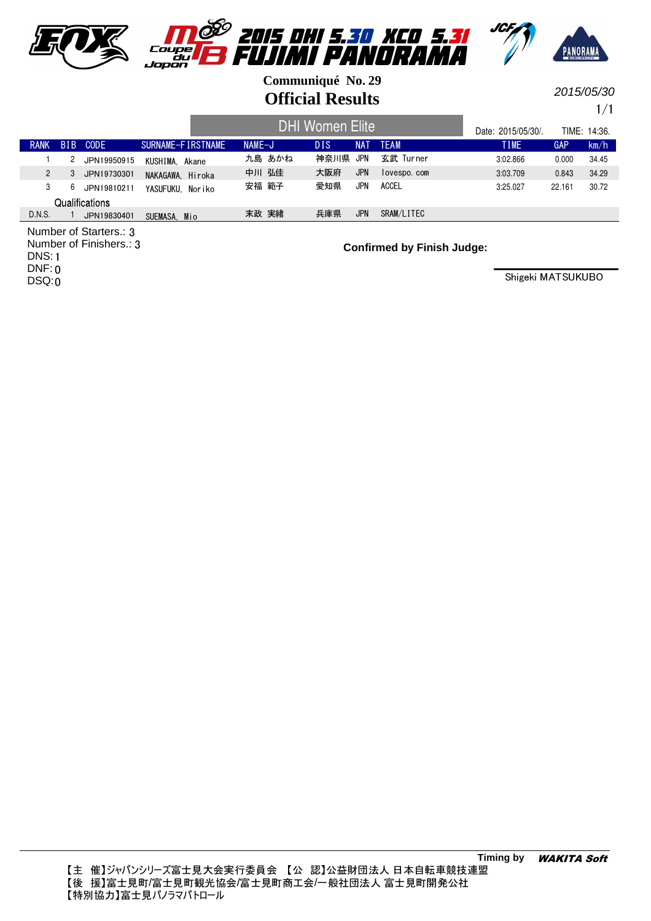

2015/05/30

1/1

|                |                 |             |                   | <b>DHI Women Elite</b> | Date: 2015/05/30/. |            | TIME: 14:36. |             |        |       |
|----------------|-----------------|-------------|-------------------|------------------------|--------------------|------------|--------------|-------------|--------|-------|
| <b>RANK</b>    | B <sub>IB</sub> | <b>CODE</b> | SURNAME-FIRSTNAME | $NAME-J$               | DIS.               | NAT        | <b>TFAM</b>  | <b>TIME</b> | GAP    | km/h  |
|                |                 | JPN19950915 | KUSHIMA. Akane    | 九島 あかね                 | 神奈川県               | JPN        | 玄武 Turner    | 3:02.866    | 0.000  | 34.45 |
| $\overline{2}$ | 3               | JPN19730301 | NAKAGAWA, Hiroka  | 中川 弘佳                  | 大阪府                | <b>JPN</b> | lovespo.com  | 3:03.709    | 0.843  | 34.29 |
|                | 6               | JPN19810211 | YASUFUKU. Noriko  | 安福 範子                  | 愛知県                | <b>JPN</b> | ACCEL        | 3:25.027    | 22.161 | 30.72 |
| Qualifications |                 |             |                   |                        |                    |            |              |             |        |       |
| D.N.S.         |                 | JPN19830401 | SUEMASA.<br>Mio   | 末政 実緒                  | 兵庫県                | <b>JPN</b> | SRAM/LITEC   |             |        |       |

Number of Starters.: 3 Number of Finishers.: 3 DNS: 1 DNF: 0 DSQ:0

**Confirmed by Finish Judge:**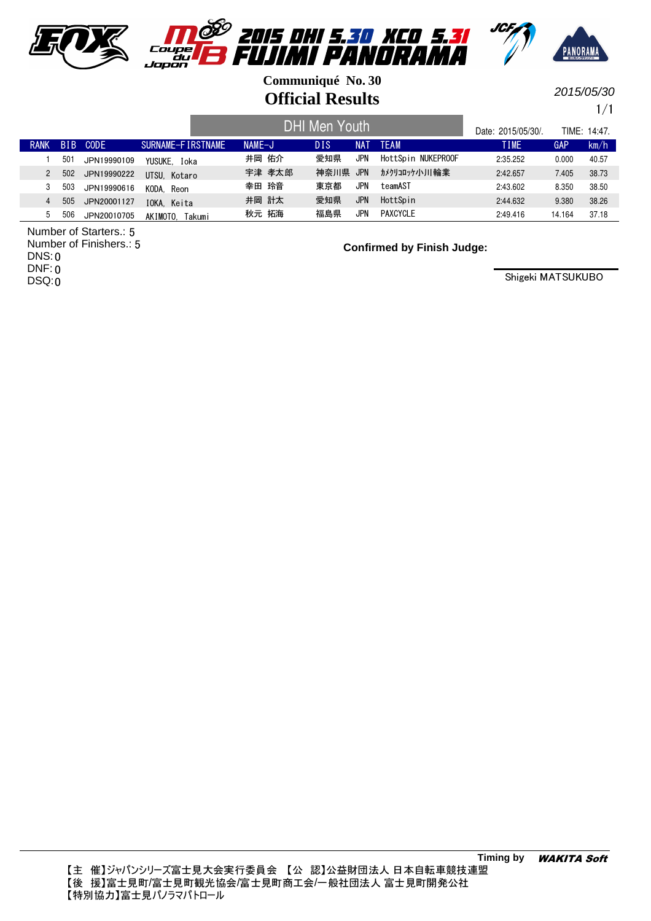

2015/05/30

1/1

|             |            |             |                   | <b>DHI Men Youth</b> | Date: 2015/05/30/. |            | TIMF: 14:47.       |             |        |       |
|-------------|------------|-------------|-------------------|----------------------|--------------------|------------|--------------------|-------------|--------|-------|
| <b>RANK</b> | <b>BIB</b> | CODE        | SURNAME-FIRSTNAME | $NAME-J$             | <b>DIS</b>         | NA1        | <b>TEAM</b>        | <b>TIME</b> | GAP    | km/h  |
|             | 501        | JPN19990109 | YUSUKE. Ioka      | 井岡 佑介                | 愛知県                | <b>JPN</b> | HottSpin NUKEPROOF | 2:35.252    | 0.000  | 40.57 |
| 2           | 502        | JPN19990222 | UTSU. Kotaro      | 宇津 孝太郎               | 神奈川県               | <b>JPN</b> | カメクリコロッケノトノ!!輪業    | 2:42.657    | 7.405  | 38.73 |
|             | 503        | JPN19990616 | KODA, Reon        | 幸田 玲音                | 東京都                | JPN        | teamAST            | 2:43.602    | 8.350  | 38.50 |
| 4           | 505        | JPN20001127 | IOKA, Keita       | 井岡 計太                | 愛知県                | JPN        | HottSpin           | 2:44.632    | 9.380  | 38.26 |
| b.          | 506        | JPN20010705 | AKIMOTO. Takumi   | 秋元 拓海                | 福島県                | JPN        | PAXCYCLE           | 2:49.416    | 14.164 | 37.18 |

5 Number of Starters.: Number of Finishers.: 5 DNS: 0 DNF: 0 DSQ:0

**Confirmed by Finish Judge:**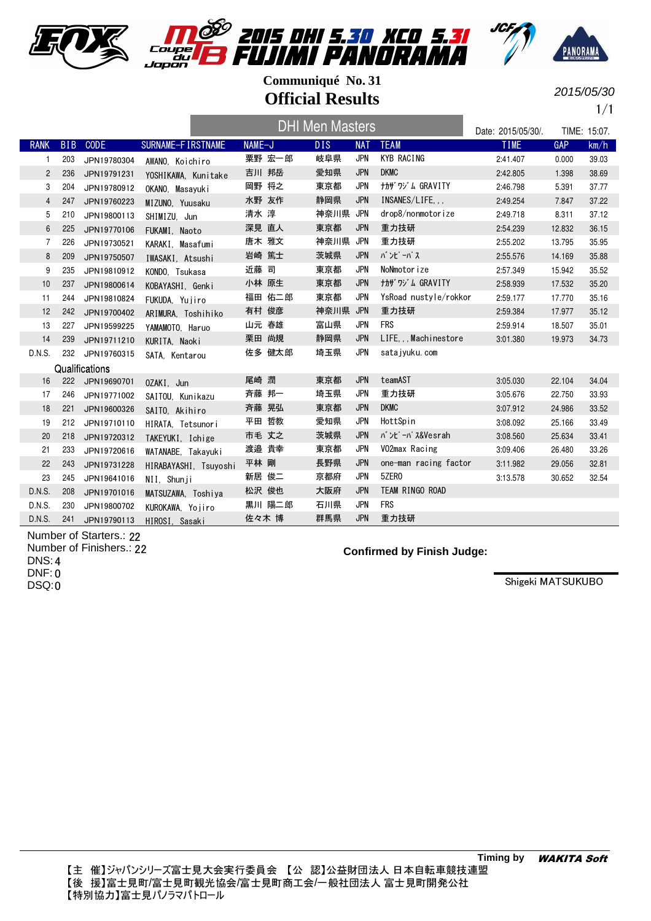





2015/05/30

1/1

|                |            |                |                       |        | <b>DHI Men Masters</b> |            |                         | Date: 2015/05/30/. |            | TIME: 15:07. |
|----------------|------------|----------------|-----------------------|--------|------------------------|------------|-------------------------|--------------------|------------|--------------|
| <b>RANK</b>    | <b>BIB</b> | <b>CODE</b>    | SURNAME-FIRSTNAME     | NAME-J | DIS.                   | <b>NAT</b> | <b>TEAM</b>             | <b>TIME</b>        | <b>GAP</b> | km/h         |
| 1              | 203        | JPN19780304    | AWANO, Koichiro       | 粟野 宏一郎 | 岐阜県                    | <b>JPN</b> | <b>KYB RACING</b>       | 2:41.407           | 0.000      | 39.03        |
| $\mathbf{2}$   | 236        | JPN19791231    | YOSHIKAWA, Kunitake   | 吉川 邦岳  | 愛知県                    | <b>JPN</b> | <b>DKMC</b>             | 2:42.805           | 1.398      | 38.69        |
| 3              | 204        | JPN19780912    | OKANO. Masavuki       | 岡野 将之  | 東京都                    | <b>JPN</b> | <b>ナカザ ワジ ム GRAVITY</b> | 2:46.798           | 5.391      | 37.77        |
| 4              | 247        | JPN19760223    | MIZUNO, Yuusaku       | 水野 友作  | 静岡県                    | <b>JPN</b> | INSANES/LIFE,           | 2:49.254           | 7.847      | 37.22        |
| 5              | 210        | JPN19800113    | SHIMIZU. Jun          | 清水 淳   | 神奈川県 JPN               |            | drop8/nonmotorize       | 2:49.718           | 8.311      | 37.12        |
| $6\phantom{.}$ | 225        | JPN19770106    | FUKAMI, Naoto         | 深見 直人  | 東京都                    | <b>JPN</b> | 重力技研                    | 2:54.239           | 12.832     | 36.15        |
| $\overline{7}$ | 226        | JPN19730521    | KARAKI. Masafumi      | 唐木 雅文  | 神奈川県                   | JPN        | 重力技研                    | 2:55.202           | 13.795     | 35.95        |
| 8              | 209        | JPN19750507    | IWASAKI, Atsushi      | 岩崎 篤士  | 茨城県                    | <b>JPN</b> | <b>バンピーパス</b>           | 2:55.576           | 14.169     | 35.88        |
| 9              | 235        | JPN19810912    | KONDO, Tsukasa        | 近藤 司   | 東京都                    | <b>JPN</b> | NoNmotorize             | 2:57.349           | 15.942     | 35.52        |
| 10             | 237        | JPN19800614    | KOBAYASHI, Genki      | 小林 原生  | 東京都                    | <b>JPN</b> | <b>ナカザ ワゾム GRAVITY</b>  | 2:58.939           | 17.532     | 35.20        |
| 11             | 244        | JPN19810824    | FUKUDA, Yujiro        | 福田 佑二郎 | 東京都                    | JPN        | YsRoad nustyle/rokkor   | 2:59.177           | 17.770     | 35.16        |
| 12             | 242        | JPN19700402    | ARIMURA. Toshihiko    | 有村 俊彦  | 神奈川県 JPN               |            | 重力技研                    | 2:59.384           | 17.977     | 35.12        |
| 13             | 227        | JPN19599225    | YAMAMOTO. Haruo       | 山元 春雄  | 富山県                    | <b>JPN</b> | <b>FRS</b>              | 2:59.914           | 18.507     | 35.01        |
| 14             | 239        | JPN19711210    | KURITA, Naoki         | 栗田 尚規  | 静岡県                    | <b>JPN</b> | LIFEMachinestore        | 3:01.380           | 19.973     | 34.73        |
| D.N.S.         | 232        | JPN19760315    | SATA, Kentarou        | 佐多 健太郎 | 埼玉県                    | <b>JPN</b> | sata jyuku, com         |                    |            |              |
|                |            | Qualifications |                       |        |                        |            |                         |                    |            |              |
| 16             | 222        | JPN19690701    | 0ZAKI. Jun            | 尾崎 潤   | 東京都                    | <b>JPN</b> | teamAST                 | 3:05.030           | 22.104     | 34.04        |
| 17             | 246        | JPN19771002    | SAITOU. Kunikazu      | 斉藤 邦一  | 埼玉県                    | <b>JPN</b> | 重力技研                    | 3:05.676           | 22.750     | 33.93        |
| 18             | 221        | JPN19600326    | SAITO. Akihiro        | 斉藤 晃弘  | 東京都                    | <b>JPN</b> | <b>DKMC</b>             | 3:07.912           | 24.986     | 33.52        |
| 19             | 212        | JPN19710110    | HIRATA. Tetsunori     | 平田 哲教  | 愛知県                    | <b>JPN</b> | HottSpin                | 3:08.092           | 25.166     | 33.49        |
| 20             | 218        | JPN19720312    | TAKEYUKI, Ichige      | 市毛 丈之  | 茨城県                    | <b>JPN</b> | バンピーパス&Vesrah           | 3:08.560           | 25.634     | 33.41        |
| 21             | 233        | JPN19720616    | WATANABE, Takayuki    | 渡邉 貴幸  | 東京都                    | <b>JPN</b> | VO2max Racing           | 3:09.406           | 26.480     | 33.26        |
| 22             | 243        | JPN19731228    | HIRABAYASHI, Tsuyoshi | 平林 剛   | 長野県                    | <b>JPN</b> | one-man racing factor   | 3:11.982           | 29.056     | 32.81        |
| 23             | 245        | JPN19641016    | NII, Shunji           | 新居 俊二  | 京都府                    | <b>JPN</b> | 5ZER0                   | 3:13.578           | 30.652     | 32.54        |
| D.N.S.         | 208        | JPN19701016    | MATSUZAWA, Toshiya    | 松沢 俊也  | 大阪府                    | <b>JPN</b> | TEAM RINGO ROAD         |                    |            |              |
| D.N.S.         | 230        | JPN19800702    | KUROKAWA, Yojiro      | 黒川 陽二郎 | 石川県                    | <b>JPN</b> | <b>FRS</b>              |                    |            |              |
| D.N.S.         | 241        | JPN19790113    | HIROSI. Sasaki        | 佐々木 博  | 群馬県                    | <b>JPN</b> | 重力技研                    |                    |            |              |
|                |            |                |                       |        |                        |            |                         |                    |            |              |

Number of Starters.: 22 Number of Finishers.: 22 DNS: 4 DNF: 0 DSQ:0

**Confirmed by Finish Judge:**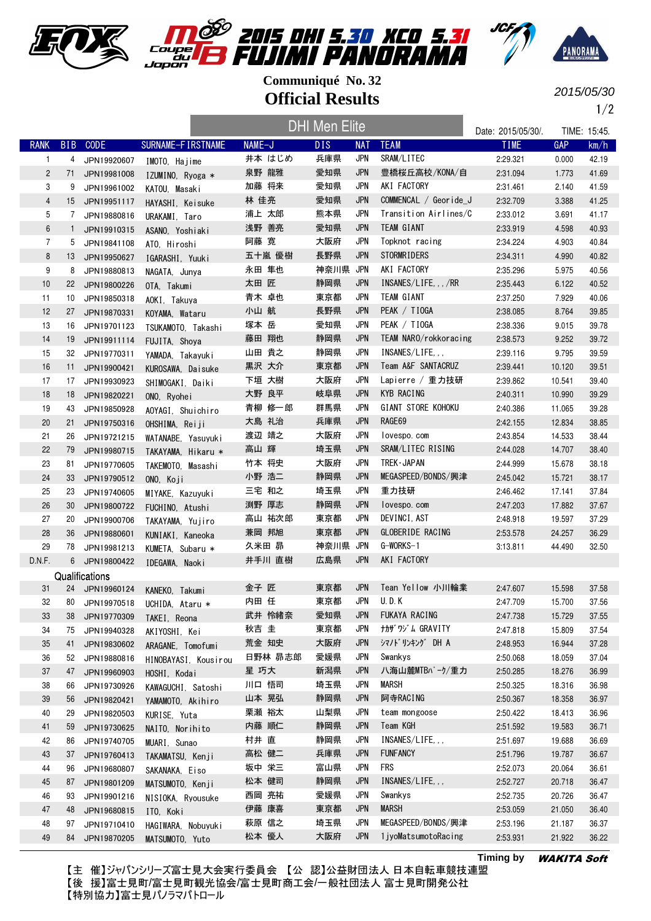







2015/05/30

1/2

|                |              |                |                                      |         | <b>DHI Men Elite</b> |            |                       | Date: 2015/05/30/. |            | TIME: 15:45. |
|----------------|--------------|----------------|--------------------------------------|---------|----------------------|------------|-----------------------|--------------------|------------|--------------|
| <b>RANK</b>    |              | BIB CODE       | SURNAME-FIRSTNAME                    | NAME-J  | <b>DIS</b>           | <b>NAT</b> | <b>TEAM</b>           | <b>TIME</b>        | <b>GAP</b> | km/h         |
| $\mathbf{1}$   |              | 4 JPN19920607  | IMOTO, Hajime                        | 井本 はじめ  | 兵庫県                  | <b>JPN</b> | SRAM/LITEC            | 2:29.321           | 0.000      | 42.19        |
| $\overline{c}$ | 71           | JPN19981008    | IZUMINO, Ryoga *                     | 泉野 龍雅   | 愛知県                  | <b>JPN</b> | 豊橋桜丘高校/KONA/自         | 2:31.094           | 1.773      | 41.69        |
| 3              | 9            | JPN19961002    | KATOU, Masaki                        | 加藤 将来   | 愛知県                  | <b>JPN</b> | AKI FACTORY           | 2:31.461           | 2.140      | 41.59        |
| $\overline{4}$ | 15           | JPN19951117    | HAYASHI, Keisuke                     | 林 佳亮    | 愛知県                  | <b>JPN</b> | COMMENCAL / Georide_J | 2:32.709           | 3.388      | 41.25        |
| 5              | 7            | JPN19880816    | URAKAMI, Taro                        | 浦上 太郎   | 熊本県                  | <b>JPN</b> | Transition Airlines/C | 2:33.012           | 3.691      | 41.17        |
| $6\,$          | $\mathbf{1}$ | JPN19910315    | ASANO, Yoshiaki                      | 浅野 善亮   | 愛知県                  | <b>JPN</b> | TEAM GIANT            | 2:33.919           | 4.598      | 40.93        |
| $\overline{7}$ | 5            | JPN19841108    | ATO, Hiroshi                         | 阿藤 寛    | 大阪府                  | JPN        | Topknot racing        | 2:34.224           | 4.903      | 40.84        |
| 8              | 13           | JPN19950627    | IGARASHI, Yuuki                      | 五十嵐 優樹  | 長野県                  | <b>JPN</b> | <b>STORMRIDERS</b>    | 2:34.311           | 4.990      | 40.82        |
| 9              | 8            | JPN19880813    | NAGATA, Junya                        | 永田 隼也   | 神奈川県                 | <b>JPN</b> | AKI FACTORY           | 2:35.296           | 5.975      | 40.56        |
| 10             | 22           | JPN19800226    | OTA, Takumi                          | 太田 匠    | 静岡県                  | <b>JPN</b> | INSANES/LIFE, /RR     | 2:35.443           | 6.122      | 40.52        |
| 11             | 10           | JPN19850318    | AOKI, Takuya                         | 青木 卓也   | 東京都                  | JPN        | TEAM GIANT            | 2:37.250           | 7.929      | 40.06        |
| 12             | 27           | JPN19870331    | KOYAMA, Wataru                       | 小山 航    | 長野県                  | <b>JPN</b> | PEAK / TIOGA          | 2:38.085           | 8.764      | 39.85        |
| 13             | 16           | JPN19701123    | TSUKAMOTO, Takashi                   | 塚本 岳    | 愛知県                  | <b>JPN</b> | PEAK / TIOGA          | 2:38.336           | 9.015      | 39.78        |
| 14             | 19           | JPN19911114    | FUJITA, Shoya                        | 藤田 翔也   | 静岡県                  | <b>JPN</b> | TEAM NARO/rokkoracing | 2:38.573           | 9.252      | 39.72        |
| 15             | 32           | JPN19770311    | YAMADA, Takayuki                     | 山田 貴之   | 静岡県                  | <b>JPN</b> | INSANES/LIFE          | 2:39.116           | 9.795      | 39.59        |
| 16             | 11           | JPN19900421    | KUROSAWA, Daisuke                    | 黒沢 大介   | 東京都                  | JPN        | Team A&F SANTACRUZ    | 2:39.441           | 10.120     | 39.51        |
| 17             | 17           | JPN19930923    | SHIMOGAKI, Daiki                     | 下垣 大樹   | 大阪府                  | <b>JPN</b> | Lapierre / 重力技研       | 2:39.862           | 10.541     | 39.40        |
| 18             | 18           | JPN19820221    | ONO, Ryohei                          | 大野 良平   | 岐阜県                  | JPN        | <b>KYB RACING</b>     | 2:40.311           | 10.990     | 39.29        |
| 19             | 43           | JPN19850928    | AOYAGI. Shuichiro                    | 青柳 修一郎  | 群馬県                  | <b>JPN</b> | GIANT STORE KOHOKU    | 2:40.386           | 11.065     | 39.28        |
| 20             | 21           | JPN19750316    |                                      | 大島 礼治   | 兵庫県                  | <b>JPN</b> | RAGE69                | 2:42.155           | 12.834     | 38.85        |
| 21             | 26           | JPN19721215    | OHSHIMA, Reiji<br>WATANABE, Yasuyuki | 渡辺 靖之   | 大阪府                  | <b>JPN</b> | lovespo.com           | 2:43.854           | 14.533     | 38.44        |
| 22             | 79           | JPN19980715    | TAKAYAMA, Hikaru *                   | 高山 輝    | 埼玉県                  | <b>JPN</b> | SRAM/LITEC RISING     | 2:44.028           | 14.707     | 38.40        |
| 23             | 81           | JPN19770605    |                                      | 竹本 将史   | 大阪府                  | <b>JPN</b> | TREK · JAPAN          | 2:44.999           | 15.678     | 38.18        |
| 24             | 33           | JPN19790512    | TAKEMOTO, Masashi<br>ONO, Koji       | 小野 浩二   | 静岡県                  | <b>JPN</b> | MEGASPEED/BONDS/興津    | 2:45.042           | 15.721     | 38.17        |
| 25             | 23           | JPN19740605    | MIYAKE, Kazuyuki                     | 三宅 和之   | 埼玉県                  | <b>JPN</b> | 重力技研                  | 2:46.462           | 17.141     | 37.84        |
| 26             | 30           | JPN19800722    | FUCHINO, Atushi                      | 渕野 厚志   | 静岡県                  | <b>JPN</b> | lovespo.com           | 2:47.203           | 17.882     | 37.67        |
| 27             | 20           | JPN19900706    | TAKAYAMA, Yujiro                     | 高山 祐次郎  | 東京都                  | JPN        | DEVINCI, AST          | 2:48.918           | 19.597     | 37.29        |
| 28             | 36           | JPN19880601    | KUNIAKI, Kaneoka                     | 兼岡 邦旭   | 東京都                  | <b>JPN</b> | GLOBERIDE RACING      | 2:53.578           | 24.257     | 36.29        |
| 29             | 78           | JPN19981213    | KUMETA, Subaru *                     | 久米田 昴   | 神奈川県 JPN             |            | G-WORKS-1             | 3:13.811           | 44.490     | 32.50        |
| D.N.F.         |              | 6 JPN19800422  | IDEGAWA, Naoki                       | 井手川 直樹  | 広島県                  | <b>JPN</b> | AKI FACTORY           |                    |            |              |
|                |              | Qualifications |                                      |         |                      |            |                       |                    |            |              |
| 31             | 24           | JPN19960124    | KANEKO. Takumi                       | 金子 匠    | 東京都                  | JPN        | Tean Yellow 小川輪業      | 2:47.607           | 15.598     | 37.58        |
| 32             | 80           | JPN19970518    | UCHIDA, Ataru *                      | 内田 任    | 東京都                  | <b>JPN</b> | <b>U.D.K</b>          | 2:47.709           | 15.700     | 37.56        |
| 33             | 38           | JPN19770309    | TAKEI, Reona                         | 武井 怜緒奈  | 愛知県                  | JPN        | FUKAYA RACING         | 2:47.738           | 15.729     | 37.55        |
| 34             | 75           | JPN19940328    | AKIYOSHI, Kei                        | 秋吉 圭    | 東京都                  | <b>JPN</b> | ナカザ ワジ ム GRAVITY      | 2:47.818           | 15.809     | 37.54        |
| 35             | 41           | JPN19830602    | ARAGANE, Tomofumi                    | 荒金 知史   | 大阪府                  | JPN        | シマノドリンキング DH A        | 2:48.953           | 16.944     | 37.28        |
| 36             | 52           | JPN19880816    | HINOBAYASI, Kousirou                 | 日野林 昴志郎 | 愛媛県                  | <b>JPN</b> | Swankys               | 2:50.068           | 18.059     | 37.04        |
| 37             | 47           | JPN19960903    | HOSHI, Kodai                         | 星 巧大    | 新潟県                  | <b>JPN</b> | 八海山麓MTBパーク/重力         | 2:50.285           | 18.276     | 36.99        |
| 38             | 66           | JPN19730926    | KAWAGUCHI, Satoshi                   | 川口 悟司   | 埼玉県                  | JPN        | MARSH                 | 2:50.325           | 18.316     | 36.98        |
| 39             | 56           | JPN19820421    | YAMAMOTO, Akihiro                    | 山本 晃弘   | 静岡県                  | <b>JPN</b> | 阿寺RACING              | 2:50.367           | 18.358     | 36.97        |
| 40             | 29           | JPN19820503    | KURISE, Yuta                         | 栗瀬 裕太   | 山梨県                  | JPN        | team mongoose         | 2:50.422           | 18.413     | 36.96        |
| 41             | 59           | JPN19730625    | NAITO, Norihito                      | 内藤 順仁   | 静岡県                  | <b>JPN</b> | Team KGH              | 2:51.592           | 19.583     | 36.71        |
| 42             | 86           | JPN19740705    | MUARI, Sunao                         | 村井 直    | 静岡県                  | JPN        | INSANES/LIFE, , ,     | 2:51.697           | 19.688     | 36.69        |
| 43             | 37           | JPN19760413    | TAKAMATSU, Kenji                     | 高松 健二   | 兵庫県                  | <b>JPN</b> | <b>FUNFANCY</b>       | 2:51.796           | 19.787     | 36.67        |
| 44             | 96           | JPN19680807    | SAKANAKA, Eiso                       | 坂中 栄三   | 富山県                  | JPN        | <b>FRS</b>            | 2:52.073           | 20.064     | 36.61        |
| 45             | 87           | JPN19801209    | MATSUMOTO, Kenji                     | 松本 健司   | 静岡県                  | JPN        | INSANES/LIFE, , ,     | 2:52.727           | 20.718     | 36.47        |
| 46             | 93           | JPN19901216    | NISIOKA, Ryousuke                    | 西岡 亮祐   | 愛媛県                  | <b>JPN</b> | Swankys               | 2:52.735           | 20.726     | 36.47        |
| 47             | 48           | JPN19680815    | ITO, Koki                            | 伊藤 康喜   | 東京都                  | <b>JPN</b> | <b>MARSH</b>          | 2:53.059           | 21.050     | 36.40        |
| 48             | 97           | JPN19710410    | HAGIWARA, Nobuyuki                   | 萩原 信之   | 埼玉県                  | <b>JPN</b> | MEGASPEED/BONDS/興津    | 2:53.196           | 21.187     | 36.37        |
| 49             | 84           | JPN19870205    | MATSUMOTO, Yuto                      | 松本 優人   | 大阪府                  | JPN        | 1 jyoMatsumotoRacing  | 2:53.931           | 21.922     | 36.22        |

【主 催】ジャパンシリーズ富士見大会実行委員会 【公 認】公益財団法人 日本自転車競技連盟 【後 援】富士見町/富士見町観光協会/富士見町商工会/一般社団法人 富士見町開発公社 【特別協力】富士見パノラマパトロール

**Timing by** WAKITA Soft